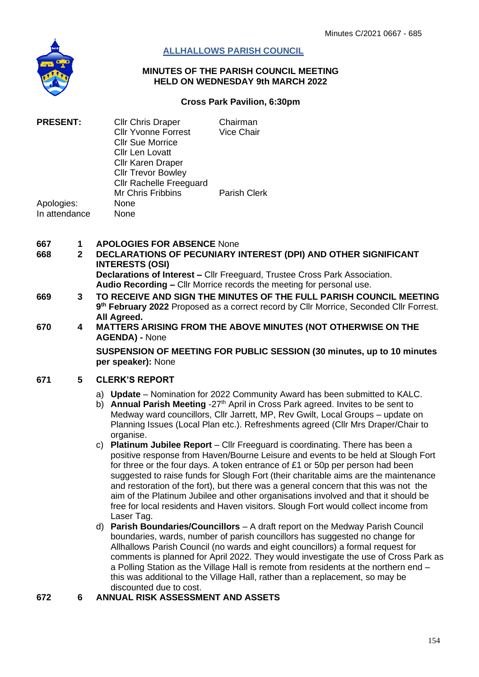

## **ALLHALLOWS PARISH COUNCIL**

#### **MINUTES OF THE PARISH COUNCIL MEETING HELD ON WEDNESDAY 9th MARCH 2022**

#### **Cross Park Pavilion, 6:30pm**

| <b>PRESENT:</b><br>Apologies:<br>In attendance | <b>Cllr Chris Draper</b><br><b>Cllr Yvonne Forrest</b><br><b>CIIr Sue Morrice</b><br><b>Cllr Len Lovatt</b><br><b>Cllr Karen Draper</b> | Chairman<br>Vice Chair |
|------------------------------------------------|-----------------------------------------------------------------------------------------------------------------------------------------|------------------------|
|                                                | <b>Cllr Trevor Bowley</b><br><b>Cllr Rachelle Freeguard</b><br><b>Mr Chris Fribbins</b><br>None<br>None                                 | <b>Parish Clerk</b>    |

- **667 1 APOLOGIES FOR ABSENCE** None
- **668 2 DECLARATIONS OF PECUNIARY INTEREST (DPI) AND OTHER SIGNIFICANT INTERESTS (OSI) Declarations of Interest –** Cllr Freeguard, Trustee Cross Park Association. **Audio Recording –** Cllr Morrice records the meeting for personal use.
- **669 3 TO RECEIVE AND SIGN THE MINUTES OF THE FULL PARISH COUNCIL MEETING 9 th February 2022** Proposed as a correct record by Cllr Morrice, Seconded Cllr Forrest. **All Agreed.**
- **670 4 MATTERS ARISING FROM THE ABOVE MINUTES (NOT OTHERWISE ON THE AGENDA) -** None

**SUSPENSION OF MEETING FOR PUBLIC SESSION (30 minutes, up to 10 minutes per speaker):** None

#### **671 5 CLERK'S REPORT**

- a) **Update** Nomination for 2022 Community Award has been submitted to KALC.
- b) **Annual Parish Meeting** -27<sup>th</sup> April in Cross Park agreed. Invites to be sent to Medway ward councillors, Cllr Jarrett, MP, Rev Gwilt, Local Groups – update on Planning Issues (Local Plan etc.). Refreshments agreed (Cllr Mrs Draper/Chair to organise.
- c) **Platinum Jubilee Report** Cllr Freeguard is coordinating. There has been a positive response from Haven/Bourne Leisure and events to be held at Slough Fort for three or the four days. A token entrance of £1 or 50p per person had been suggested to raise funds for Slough Fort (their charitable aims are the maintenance and restoration of the fort), but there was a general concern that this was not the aim of the Platinum Jubilee and other organisations involved and that it should be free for local residents and Haven visitors. Slough Fort would collect income from Laser Tag.
- d) **Parish Boundaries/Councillors**  A draft report on the Medway Parish Council boundaries, wards, number of parish councillors has suggested no change for Allhallows Parish Council (no wards and eight councillors) a formal request for comments is planned for April 2022. They would investigate the use of Cross Park as a Polling Station as the Village Hall is remote from residents at the northern end – this was additional to the Village Hall, rather than a replacement, so may be discounted due to cost.

**672 6 ANNUAL RISK ASSESSMENT AND ASSETS**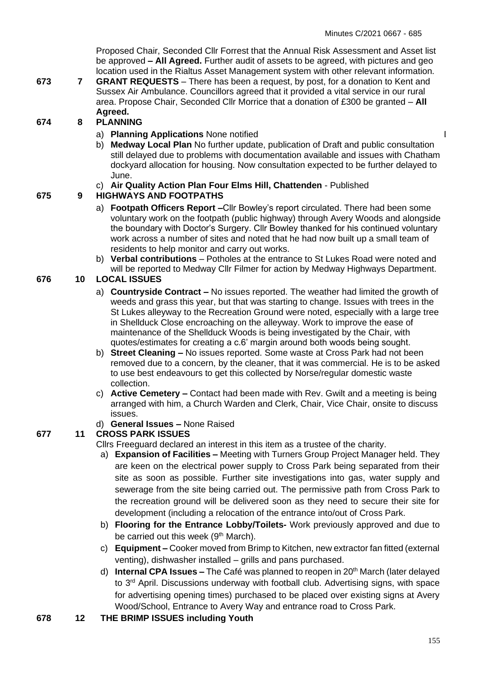$\overline{1}$ 

Proposed Chair, Seconded Cllr Forrest that the Annual Risk Assessment and Asset list be approved **– All Agreed.** Further audit of assets to be agreed, with pictures and geo location used in the Rialtus Asset Management system with other relevant information.

**673 7 GRANT REQUESTS** – There has been a request, by post, for a donation to Kent and Sussex Air Ambulance. Councillors agreed that it provided a vital service in our rural area. Propose Chair, Seconded Cllr Morrice that a donation of £300 be granted – **All Agreed.**

# **674 8 PLANNING**

- a) **Planning Applications** None notified
- b) **Medway Local Plan** No further update, publication of Draft and public consultation still delayed due to problems with documentation available and issues with Chatham dockyard allocation for housing. Now consultation expected to be further delayed to June.

## c) **Air Quality Action Plan Four Elms Hill, Chattenden** - Published

## **675 9 HIGHWAYS AND FOOTPATHS**

- a) **Footpath Officers Report –**Cllr Bowley's report circulated. There had been some voluntary work on the footpath (public highway) through Avery Woods and alongside the boundary with Doctor's Surgery. Cllr Bowley thanked for his continued voluntary work across a number of sites and noted that he had now built up a small team of residents to help monitor and carry out works.
- b) **Verbal contributions** Potholes at the entrance to St Lukes Road were noted and will be reported to Medway Cllr Filmer for action by Medway Highways Department.

## **676 10 LOCAL ISSUES**

- a) **Countryside Contract –** No issues reported. The weather had limited the growth of weeds and grass this year, but that was starting to change. Issues with trees in the St Lukes alleyway to the Recreation Ground were noted, especially with a large tree in Shellduck Close encroaching on the alleyway. Work to improve the ease of maintenance of the Shellduck Woods is being investigated by the Chair, with quotes/estimates for creating a c.6' margin around both woods being sought.
- b) **Street Cleaning –** No issues reported. Some waste at Cross Park had not been removed due to a concern, by the cleaner, that it was commercial. He is to be asked to use best endeavours to get this collected by Norse/regular domestic waste collection.
- c) **Active Cemetery –** Contact had been made with Rev. Gwilt and a meeting is being arranged with him, a Church Warden and Clerk, Chair, Vice Chair, onsite to discuss issues.
- d) **General Issues –** None Raised

# **677 11 CROSS PARK ISSUES**

Cllrs Freeguard declared an interest in this item as a trustee of the charity.

- a) **Expansion of Facilities –** Meeting with Turners Group Project Manager held. They are keen on the electrical power supply to Cross Park being separated from their site as soon as possible. Further site investigations into gas, water supply and sewerage from the site being carried out. The permissive path from Cross Park to the recreation ground will be delivered soon as they need to secure their site for development (including a relocation of the entrance into/out of Cross Park.
- b) **Flooring for the Entrance Lobby/Toilets-** Work previously approved and due to be carried out this week (9<sup>th</sup> March).
- c) **Equipment –** Cooker moved from Brimp to Kitchen, new extractor fan fitted (external venting), dishwasher installed – grills and pans purchased.
- d) **Internal CPA Issues –** The Café was planned to reopen in 20<sup>th</sup> March (later delayed to 3<sup>rd</sup> April. Discussions underway with football club. Advertising signs, with space for advertising opening times) purchased to be placed over existing signs at Avery Wood/School, Entrance to Avery Way and entrance road to Cross Park.
- **678 12 THE BRIMP ISSUES including Youth**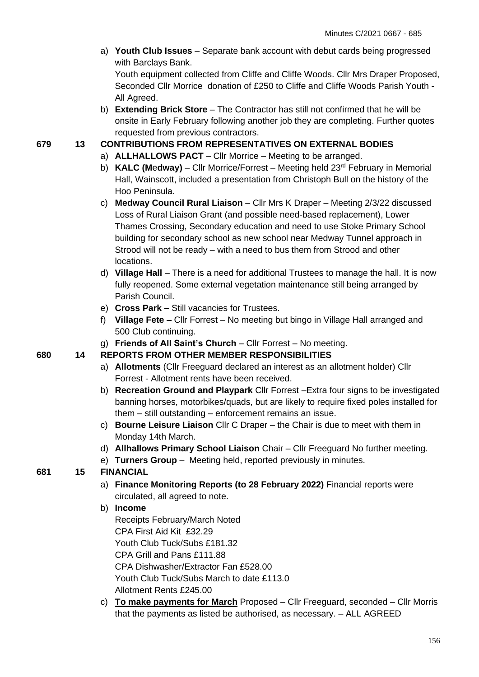a) **Youth Club Issues** – Separate bank account with debut cards being progressed with Barclays Bank.

Youth equipment collected from Cliffe and Cliffe Woods. Cllr Mrs Draper Proposed, Seconded Cllr Morrice donation of £250 to Cliffe and Cliffe Woods Parish Youth - All Agreed.

b) **Extending Brick Store** – The Contractor has still not confirmed that he will be onsite in Early February following another job they are completing. Further quotes requested from previous contractors.

### **679 13 CONTRIBUTIONS FROM REPRESENTATIVES ON EXTERNAL BODIES**

- a) **ALLHALLOWS PACT** Cllr Morrice Meeting to be arranged.
- b) **KALC (M**e**dway)** Cllr Morrice/Forrest Meeting held 23rd February in Memorial Hall, Wainscott, included a presentation from Christoph Bull on the history of the Hoo Peninsula.
- c) **Medway Council Rural Liaison** Cllr Mrs K Draper Meeting 2/3/22 discussed Loss of Rural Liaison Grant (and possible need-based replacement), Lower Thames Crossing, Secondary education and need to use Stoke Primary School building for secondary school as new school near Medway Tunnel approach in Strood will not be ready – with a need to bus them from Strood and other locations.
- d) **Village Hall** There is a need for additional Trustees to manage the hall. It is now fully reopened. Some external vegetation maintenance still being arranged by Parish Council.
- e) **Cross Park –** Still vacancies for Trustees.
- f) **Village Fete –** Cllr Forrest No meeting but bingo in Village Hall arranged and 500 Club continuing.
- g) **Friends of All Saint's Church** Cllr Forrest No meeting.

### **680 14 REPORTS FROM OTHER MEMBER RESPONSIBILITIES**

- a) **Allotments** (Cllr Freeguard declared an interest as an allotment holder) Cllr Forrest - Allotment rents have been received.
- b) **Recreation Ground and Playpark** Cllr Forrest –Extra four signs to be investigated banning horses, motorbikes/quads, but are likely to require fixed poles installed for them – still outstanding – enforcement remains an issue.
- c) **Bourne Leisure Liaison** Cllr C Draper the Chair is due to meet with them in Monday 14th March.
- d) **Allhallows Primary School Liaison** Chair Cllr Freeguard No further meeting.
- e) **Turners Group**  Meeting held, reported previously in minutes.

# **681 15 FINANCIAL**

- a) **Finance Monitoring Reports (to 28 February 2022)** Financial reports were circulated, all agreed to note.
- b) **Income**

Receipts February/March Noted

CPA First Aid Kit £32.29

Youth Club Tuck/Subs £181.32

CPA Grill and Pans £111.88

CPA Dishwasher/Extractor Fan £528.00

Youth Club Tuck/Subs March to date £113.0

Allotment Rents £245.00

c) **To make payments for March** Proposed – Cllr Freeguard, seconded – Cllr Morris that the payments as listed be authorised, as necessary. – ALL AGREED